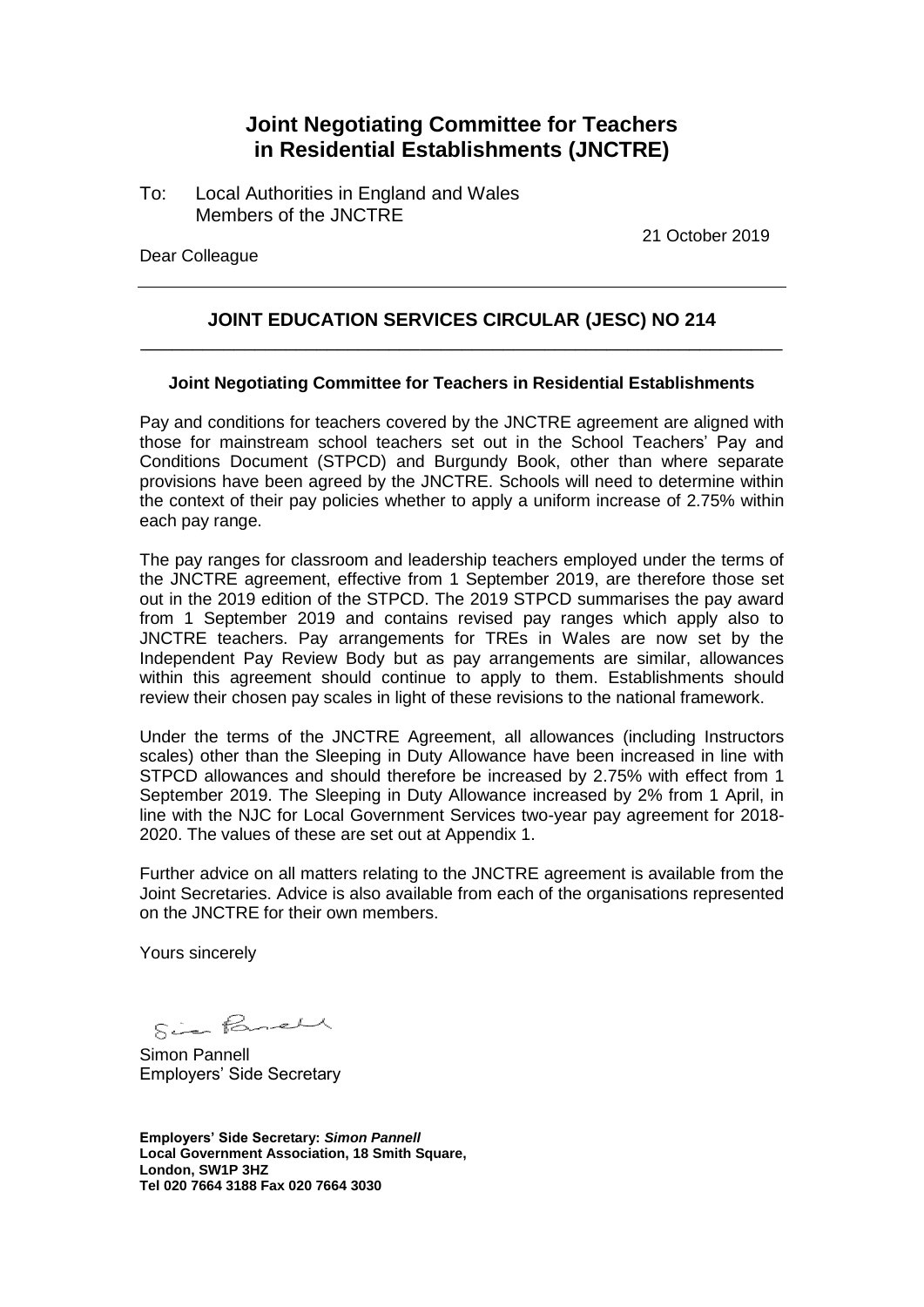## **Joint Negotiating Committee for Teachers in Residential Establishments (JNCTRE)**

To: Local Authorities in England and Wales Members of the JNCTRE

Dear Colleague

21 October 2019

#### **JOINT EDUCATION SERVICES CIRCULAR (JESC) NO 214**  \_\_\_\_\_\_\_\_\_\_\_\_\_\_\_\_\_\_\_\_\_\_\_\_\_\_\_\_\_\_\_\_\_\_\_\_\_\_\_\_\_\_\_\_\_\_\_\_\_\_\_\_\_\_\_\_\_\_\_\_\_\_

#### **Joint Negotiating Committee for Teachers in Residential Establishments**

Pay and conditions for teachers covered by the JNCTRE agreement are aligned with those for mainstream school teachers set out in the School Teachers' Pay and Conditions Document (STPCD) and Burgundy Book, other than where separate provisions have been agreed by the JNCTRE. Schools will need to determine within the context of their pay policies whether to apply a uniform increase of 2.75% within each pay range.

The pay ranges for classroom and leadership teachers employed under the terms of the JNCTRE agreement, effective from 1 September 2019, are therefore those set out in the 2019 edition of the STPCD. The 2019 STPCD summarises the pay award from 1 September 2019 and contains revised pay ranges which apply also to JNCTRE teachers. Pay arrangements for TREs in Wales are now set by the Independent Pay Review Body but as pay arrangements are similar, allowances within this agreement should continue to apply to them. Establishments should review their chosen pay scales in light of these revisions to the national framework.

Under the terms of the JNCTRE Agreement, all allowances (including Instructors scales) other than the Sleeping in Duty Allowance have been increased in line with STPCD allowances and should therefore be increased by 2.75% with effect from 1 September 2019. The Sleeping in Duty Allowance increased by 2% from 1 April, in line with the NJC for Local Government Services two-year pay agreement for 2018- 2020. The values of these are set out at Appendix 1.

Further advice on all matters relating to the JNCTRE agreement is available from the Joint Secretaries. Advice is also available from each of the organisations represented on the JNCTRE for their own members.

Yours sincerely

Sie Panell

Simon Pannell Employers' Side Secretary

**Employers' Side Secretary:** *Simon Pannell* **Local Government Association, 18 Smith Square, London, SW1P 3HZ Tel 020 7664 3188 Fax 020 7664 3030**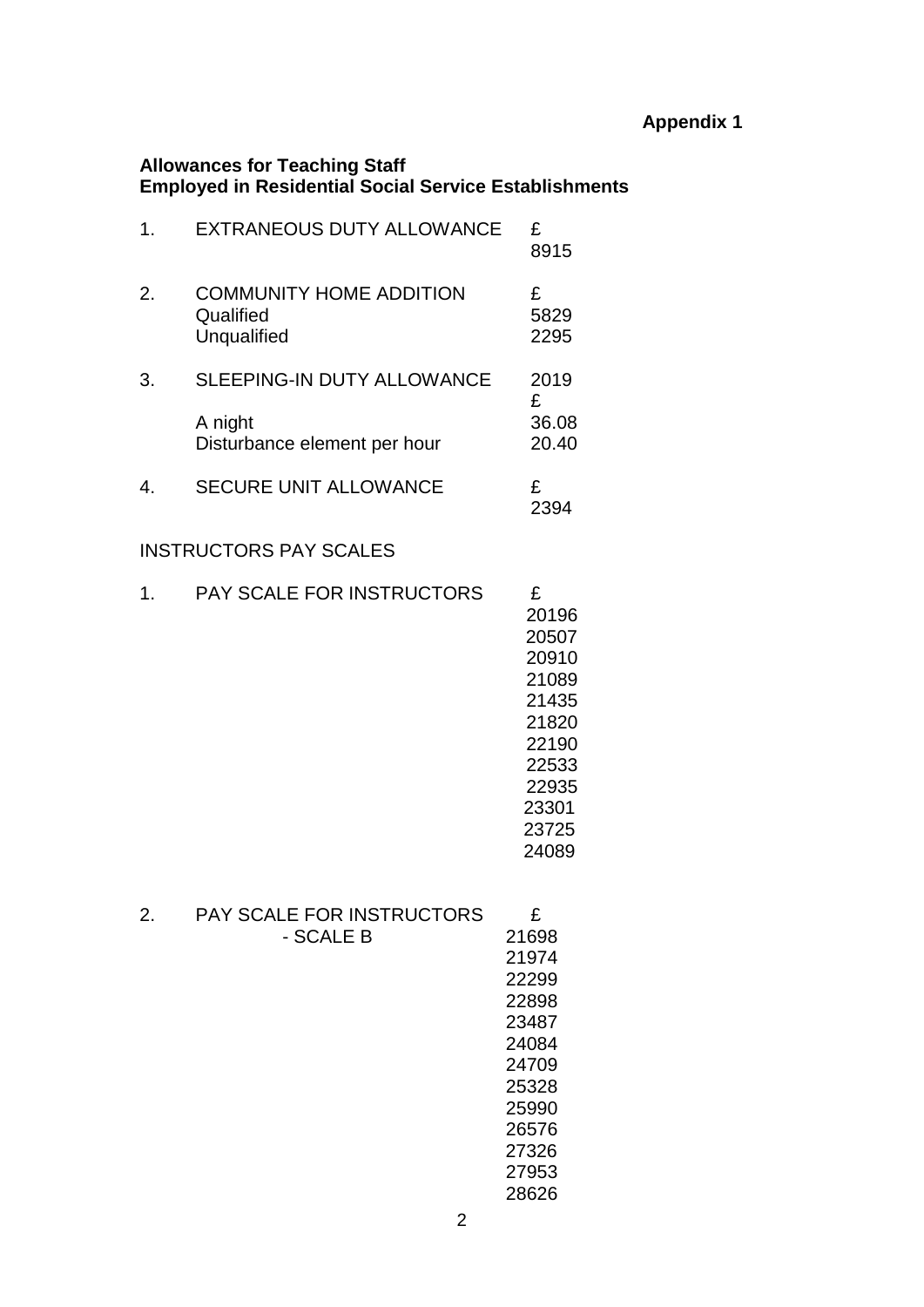## **Appendix 1**

#### **Allowances for Teaching Staff Employed in Residential Social Service Establishments**

| $\mathbf 1$ | <b>EXTRANEOUS DUTY ALLOWANCE</b>                           | £<br>8915         |
|-------------|------------------------------------------------------------|-------------------|
| 2.          | <b>COMMUNITY HOME ADDITION</b><br>Qualified<br>Unqualified | £<br>5829<br>2295 |
| 3.          | <b>SLEEPING-IN DUTY ALLOWANCE</b>                          | 2019<br>£         |
|             | A night<br>Disturbance element per hour                    | 36.08<br>20.40    |
| 4.          | <b>SECURE UNIT ALLOWANCE</b>                               | £<br>2394         |

### INSTRUCTORS PAY SCALES

| 1. | PAY SCALE FOR INSTRUCTORS              | £<br>20196<br>20507<br>20910<br>21089<br>21435<br>21820<br>22190<br>22533<br>22935<br>23301<br>23725<br>24089 |
|----|----------------------------------------|---------------------------------------------------------------------------------------------------------------|
| 2. | PAY SCALE FOR INSTRUCTORS<br>- SCALE B | £<br>21698<br>21974<br>22299<br>22898<br>23487<br>24084<br>24709<br>25328<br>25990<br>26576<br>27326<br>27953 |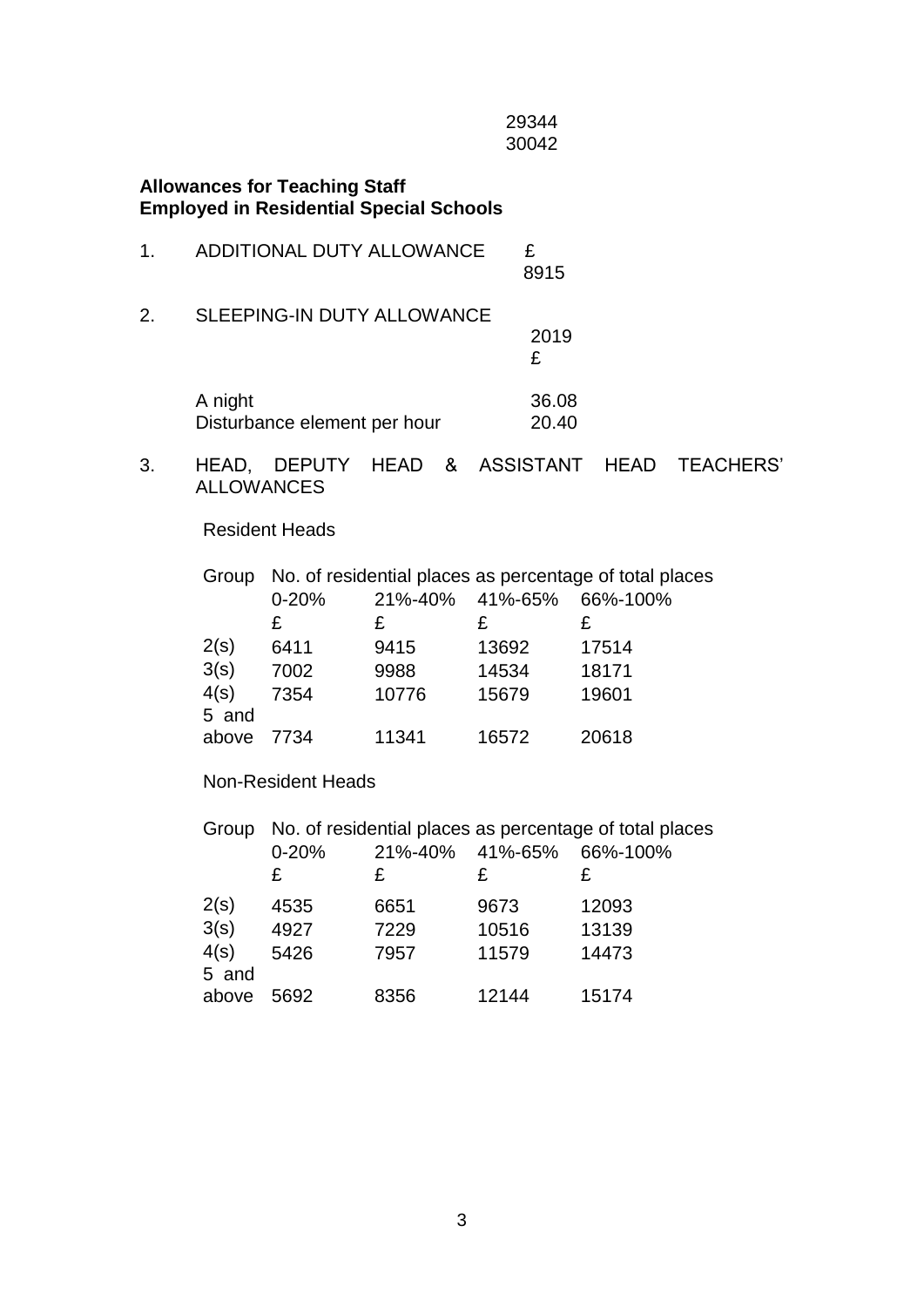29344 30042

#### **Allowances for Teaching Staff Employed in Residential Special Schools**

| 1. |                            |                              | ADDITIONAL DUTY ALLOWANCE                                                     |              | £<br>8915      |                       |                  |
|----|----------------------------|------------------------------|-------------------------------------------------------------------------------|--------------|----------------|-----------------------|------------------|
| 2. |                            |                              | <b>SLEEPING-IN DUTY ALLOWANCE</b>                                             |              | 2019<br>£      |                       |                  |
|    | A night                    | Disturbance element per hour |                                                                               |              | 36.08<br>20.40 |                       |                  |
| 3. | HEAD,<br><b>ALLOWANCES</b> | DEPUTY HEAD                  |                                                                               | & ASSISTANT  |                | HEAD                  | <b>TEACHERS'</b> |
|    |                            | <b>Resident Heads</b>        |                                                                               |              |                |                       |                  |
|    |                            | $0 - 20%$<br>£               | Group No. of residential places as percentage of total places<br>21%-40%<br>£ | £            |                | 41%-65% 66%-100%<br>£ |                  |
|    | 2(s)                       | 6411                         | 9415                                                                          | 13692        |                | 17514                 |                  |
|    | 3(s)                       | 7002                         | 9988                                                                          | 14534        |                | 18171                 |                  |
|    | 4(s)                       | 7354                         | 10776                                                                         | 15679        |                | 19601                 |                  |
|    | 5 and                      |                              |                                                                               |              |                |                       |                  |
|    | above                      | 7734                         | 11341                                                                         | 16572        |                | 20618                 |                  |
|    |                            | <b>Non-Resident Heads</b>    |                                                                               |              |                |                       |                  |
|    |                            | $0 - 20%$<br>£               | Group No. of residential places as percentage of total places<br>21%-40%<br>£ | 41%-65%<br>£ |                | 66%-100%<br>£         |                  |
|    | 2(s)                       | 4535                         | 6651                                                                          | 9673         |                | 12093                 |                  |
|    | 3(s)                       | 4927                         | 7229                                                                          | 10516        |                | 13139                 |                  |

5 and above 5692 8356 12144 15174

4(s) 5426 7957 11579 14473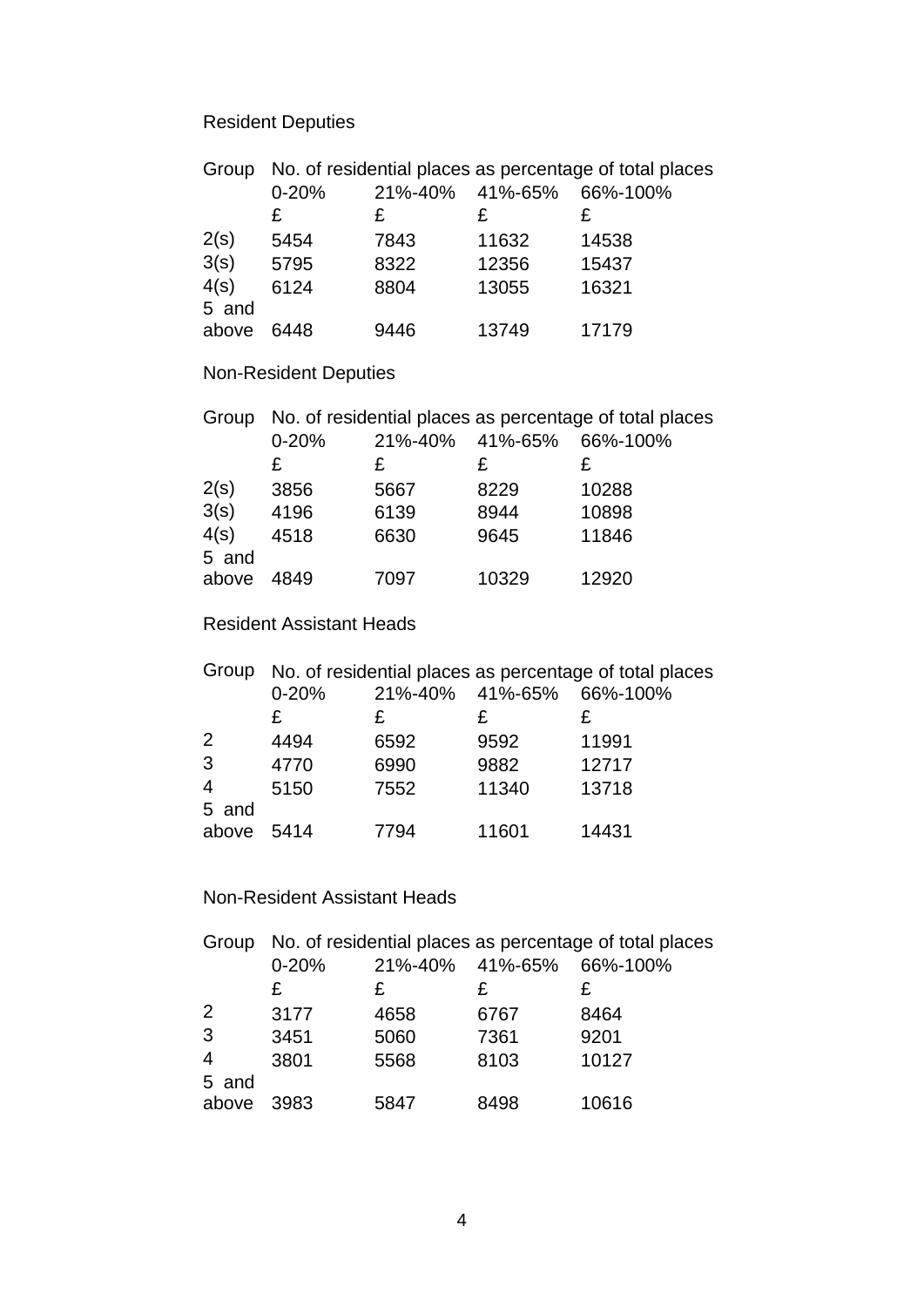# Resident Deputies

|       | Group No. of residential places as percentage of total places |         |         |          |  |
|-------|---------------------------------------------------------------|---------|---------|----------|--|
|       | $0 - 20%$                                                     | 21%-40% | 41%-65% | 66%-100% |  |
|       | £                                                             | £       | £       | £        |  |
| 2(s)  | 5454                                                          | 7843    | 11632   | 14538    |  |
| 3(s)  | 5795                                                          | 8322    | 12356   | 15437    |  |
| 4(s)  | 6124                                                          | 8804    | 13055   | 16321    |  |
| 5 and |                                                               |         |         |          |  |
| above | 6448                                                          | 9446    | 13749   | 17179    |  |

# Non-Resident Deputies

| Group | No. of residential places as percentage of total places |                 |       |          |  |
|-------|---------------------------------------------------------|-----------------|-------|----------|--|
|       | $0 - 20%$                                               | 21%-40% 41%-65% |       | 66%-100% |  |
|       | £                                                       | £               | £     | £        |  |
| 2(s)  | 3856                                                    | 5667            | 8229  | 10288    |  |
| 3(s)  | 4196                                                    | 6139            | 8944  | 10898    |  |
| 4(s)  | 4518                                                    | 6630            | 9645  | 11846    |  |
| 5 and |                                                         |                 |       |          |  |
| above | 4849                                                    | 7097            | 10329 | 12920    |  |

## Resident Assistant Heads

| Group          | No. of residential places as percentage of total places |      |                          |       |  |
|----------------|---------------------------------------------------------|------|--------------------------|-------|--|
|                | $0 - 20%$                                               |      | 21%-40% 41%-65% 66%-100% |       |  |
|                | £                                                       | £    | £                        | £     |  |
| $\overline{2}$ | 4494                                                    | 6592 | 9592                     | 11991 |  |
| 3              | 4770                                                    | 6990 | 9882                     | 12717 |  |
| $\overline{4}$ | 5150                                                    | 7552 | 11340                    | 13718 |  |
| 5 and          |                                                         |      |                          |       |  |
| above          | 5414                                                    | 7794 | 11601                    | 14431 |  |

## Non-Resident Assistant Heads

| Group          | No. of residential places as percentage of total places |                 |      |          |  |
|----------------|---------------------------------------------------------|-----------------|------|----------|--|
|                | $0 - 20%$                                               | 21%-40% 41%-65% |      | 66%-100% |  |
|                | £                                                       | £               | £    | £        |  |
| $\overline{2}$ | 3177                                                    | 4658            | 6767 | 8464     |  |
| 3              | 3451                                                    | 5060            | 7361 | 9201     |  |
| 4              | 3801                                                    | 5568            | 8103 | 10127    |  |
| 5 and          |                                                         |                 |      |          |  |
| above          | 3983                                                    | 5847            | 8498 | 10616    |  |